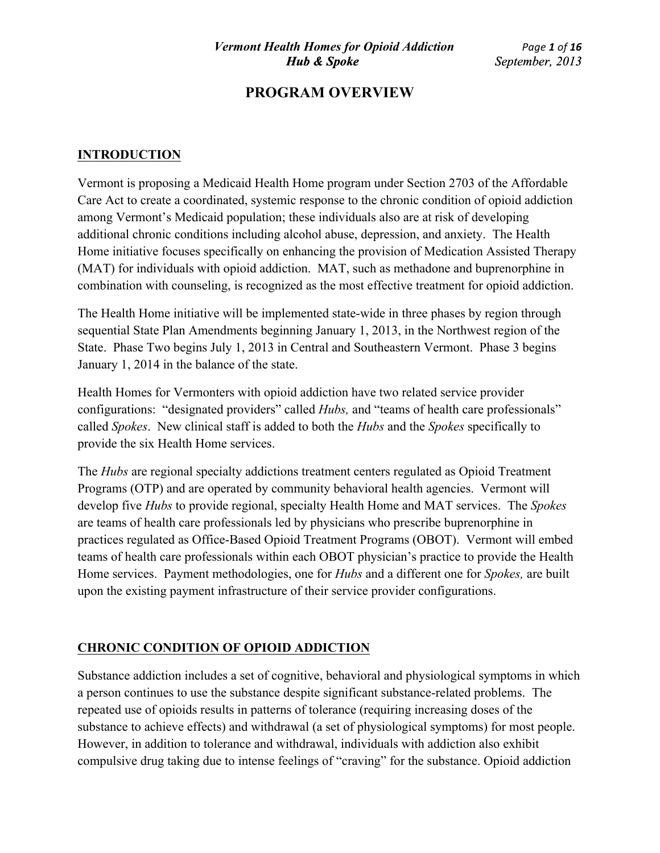## **INTRODUCTION**

Vermont is proposing a Medicaid Health Home program under Section 2703 of the Affordable Care Act to create a coordinated, systemic response to the chronic condition of opioid addiction among Vermont's Medicaid population; these individuals also are at risk of developing additional chronic conditions including alcohol abuse, depression, and anxiety. The Health Home initiative focuses specifically on enhancing the provision of Medication Assisted Therapy (MAT) for individuals with opioid addiction. MAT, such as methadone and buprenorphine in combination with counseling, is recognized as the most effective treatment for opioid addiction.

The Health Home initiative will be implemented state-wide in three phases by region through sequential State Plan Amendments beginning January 1, 2013, in the Northwest region of the State. Phase Two begins July 1, 2013 in Central and Southeastern Vermont. Phase 3 begins January 1, 2014 in the balance of the state.

Health Homes for Vermonters with opioid addiction have two related service provider configurations: "designated providers" called *Hubs,* and "teams of health care professionals" called *Spokes*. New clinical staff is added to both the *Hubs* and the *Spokes* specifically to provide the six Health Home services.

The *Hubs* are regional specialty addictions treatment centers regulated as Opioid Treatment Programs (OTP) and are operated by community behavioral health agencies. Vermont will develop five *Hubs* to provide regional, specialty Health Home and MAT services. The *Spokes* are teams of health care professionals led by physicians who prescribe buprenorphine in practices regulated as Office-Based Opioid Treatment Programs (OBOT). Vermont will embed teams of health care professionals within each OBOT physician's practice to provide the Health Home services. Payment methodologies, one for *Hubs* and a different one for *Spokes,* are built upon the existing payment infrastructure of their service provider configurations.

## **CHRONIC CONDITION OF OPIOID ADDICTION**

Substance addiction includes a set of cognitive, behavioral and physiological symptoms in which a person continues to use the substance despite significant substance-related problems. The repeated use of opioids results in patterns of tolerance (requiring increasing doses of the substance to achieve effects) and withdrawal (a set of physiological symptoms) for most people. However, in addition to tolerance and withdrawal, individuals with addiction also exhibit compulsive drug taking due to intense feelings of "craving" for the substance. Opioid addiction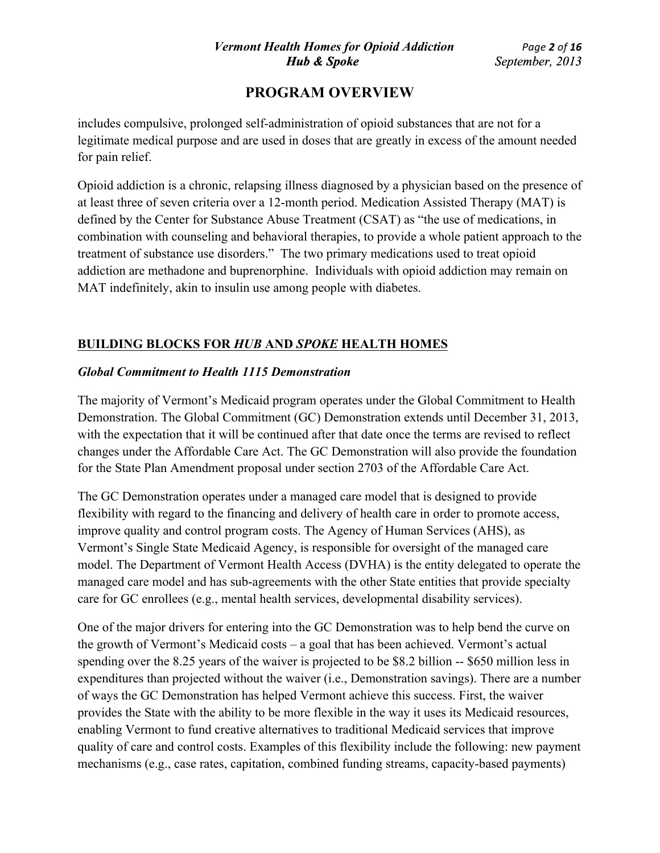includes compulsive, prolonged self-administration of opioid substances that are not for a legitimate medical purpose and are used in doses that are greatly in excess of the amount needed for pain relief.

Opioid addiction is a chronic, relapsing illness diagnosed by a physician based on the presence of at least three of seven criteria over a 12-month period. Medication Assisted Therapy (MAT) is defined by the Center for Substance Abuse Treatment (CSAT) as "the use of medications, in combination with counseling and behavioral therapies, to provide a whole patient approach to the treatment of substance use disorders." The two primary medications used to treat opioid addiction are methadone and buprenorphine. Individuals with opioid addiction may remain on MAT indefinitely, akin to insulin use among people with diabetes.

# **BUILDING BLOCKS FOR** *HUB* **AND** *SPOKE* **HEALTH HOMES**

## *Global Commitment to Health 1115 Demonstration*

The majority of Vermont's Medicaid program operates under the Global Commitment to Health Demonstration. The Global Commitment (GC) Demonstration extends until December 31, 2013, with the expectation that it will be continued after that date once the terms are revised to reflect changes under the Affordable Care Act. The GC Demonstration will also provide the foundation for the State Plan Amendment proposal under section 2703 of the Affordable Care Act.

The GC Demonstration operates under a managed care model that is designed to provide flexibility with regard to the financing and delivery of health care in order to promote access, improve quality and control program costs. The Agency of Human Services (AHS), as Vermont's Single State Medicaid Agency, is responsible for oversight of the managed care model. The Department of Vermont Health Access (DVHA) is the entity delegated to operate the managed care model and has sub-agreements with the other State entities that provide specialty care for GC enrollees (e.g., mental health services, developmental disability services).

One of the major drivers for entering into the GC Demonstration was to help bend the curve on the growth of Vermont's Medicaid costs – a goal that has been achieved. Vermont's actual spending over the 8.25 years of the waiver is projected to be \$8.2 billion -- \$650 million less in expenditures than projected without the waiver (i.e., Demonstration savings). There are a number of ways the GC Demonstration has helped Vermont achieve this success. First, the waiver provides the State with the ability to be more flexible in the way it uses its Medicaid resources, enabling Vermont to fund creative alternatives to traditional Medicaid services that improve quality of care and control costs. Examples of this flexibility include the following: new payment mechanisms (e.g., case rates, capitation, combined funding streams, capacity-based payments)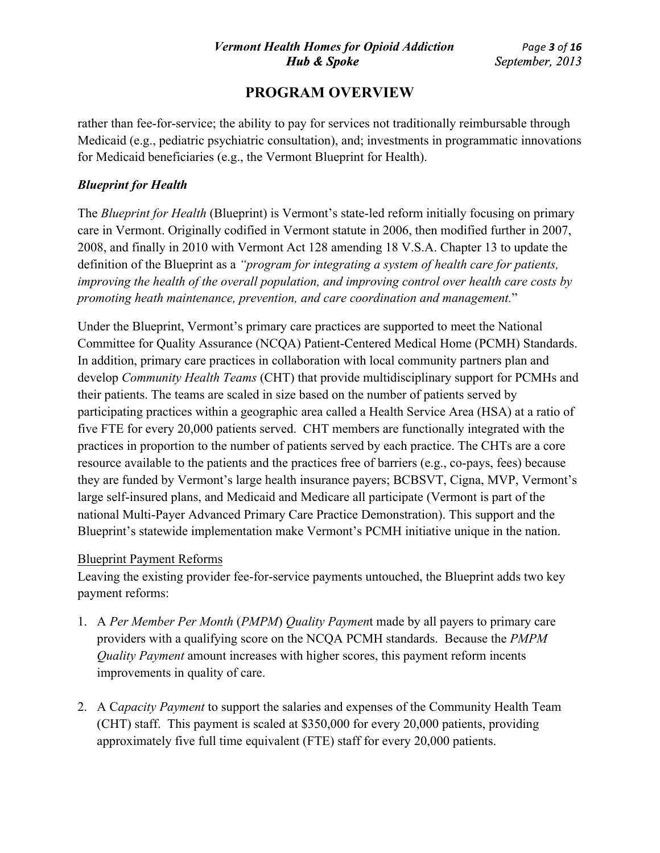rather than fee-for-service; the ability to pay for services not traditionally reimbursable through Medicaid (e.g., pediatric psychiatric consultation), and; investments in programmatic innovations for Medicaid beneficiaries (e.g., the Vermont Blueprint for Health).

### *Blueprint for Health*

The *Blueprint for Health* (Blueprint) is Vermont's state-led reform initially focusing on primary care in Vermont. Originally codified in Vermont statute in 2006, then modified further in 2007, 2008, and finally in 2010 with Vermont Act 128 amending 18 V.S.A. Chapter 13 to update the definition of the Blueprint as a *"program for integrating a system of health care for patients, improving the health of the overall population, and improving control over health care costs by promoting heath maintenance, prevention, and care coordination and management.*"

Under the Blueprint, Vermont's primary care practices are supported to meet the National Committee for Quality Assurance (NCQA) Patient-Centered Medical Home (PCMH) Standards. In addition, primary care practices in collaboration with local community partners plan and develop *Community Health Teams* (CHT) that provide multidisciplinary support for PCMHs and their patients. The teams are scaled in size based on the number of patients served by participating practices within a geographic area called a Health Service Area (HSA) at a ratio of five FTE for every 20,000 patients served. CHT members are functionally integrated with the practices in proportion to the number of patients served by each practice. The CHTs are a core resource available to the patients and the practices free of barriers (e.g., co-pays, fees) because they are funded by Vermont's large health insurance payers; BCBSVT, Cigna, MVP, Vermont's large self-insured plans, and Medicaid and Medicare all participate (Vermont is part of the national Multi-Payer Advanced Primary Care Practice Demonstration). This support and the Blueprint's statewide implementation make Vermont's PCMH initiative unique in the nation.

#### Blueprint Payment Reforms

Leaving the existing provider fee-for-service payments untouched, the Blueprint adds two key payment reforms:

- 1. A *Per Member Per Month* (*PMPM*) *Quality Paymen*t made by all payers to primary care providers with a qualifying score on the NCQA PCMH standards. Because the *PMPM Quality Payment* amount increases with higher scores, this payment reform incents improvements in quality of care.
- 2. A C*apacity Payment* to support the salaries and expenses of the Community Health Team (CHT) staff. This payment is scaled at \$350,000 for every 20,000 patients, providing approximately five full time equivalent (FTE) staff for every 20,000 patients.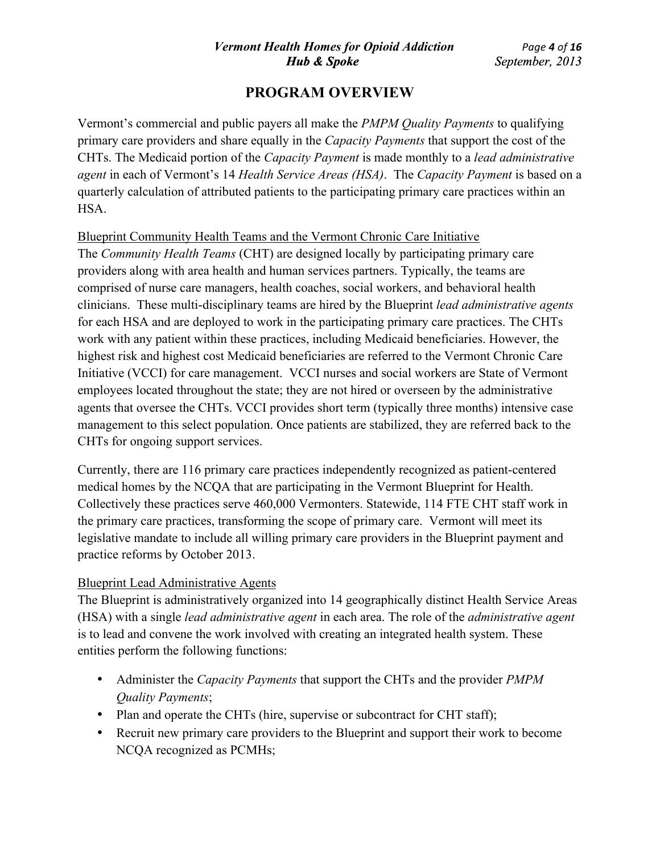Vermont's commercial and public payers all make the *PMPM Quality Payments* to qualifying primary care providers and share equally in the *Capacity Payments* that support the cost of the CHTs. The Medicaid portion of the *Capacity Payment* is made monthly to a *lead administrative agent* in each of Vermont's 14 *Health Service Areas (HSA)*. The *Capacity Payment* is based on a quarterly calculation of attributed patients to the participating primary care practices within an HSA.

#### Blueprint Community Health Teams and the Vermont Chronic Care Initiative

The *Community Health Teams* (CHT) are designed locally by participating primary care providers along with area health and human services partners. Typically, the teams are comprised of nurse care managers, health coaches, social workers, and behavioral health clinicians. These multi-disciplinary teams are hired by the Blueprint *lead administrative agents* for each HSA and are deployed to work in the participating primary care practices. The CHTs work with any patient within these practices, including Medicaid beneficiaries. However, the highest risk and highest cost Medicaid beneficiaries are referred to the Vermont Chronic Care Initiative (VCCI) for care management. VCCI nurses and social workers are State of Vermont employees located throughout the state; they are not hired or overseen by the administrative agents that oversee the CHTs. VCCI provides short term (typically three months) intensive case management to this select population. Once patients are stabilized, they are referred back to the CHTs for ongoing support services.

Currently, there are 116 primary care practices independently recognized as patient-centered medical homes by the NCQA that are participating in the Vermont Blueprint for Health. Collectively these practices serve 460,000 Vermonters. Statewide, 114 FTE CHT staff work in the primary care practices, transforming the scope of primary care. Vermont will meet its legislative mandate to include all willing primary care providers in the Blueprint payment and practice reforms by October 2013.

## Blueprint Lead Administrative Agents

The Blueprint is administratively organized into 14 geographically distinct Health Service Areas (HSA) with a single *lead administrative agent* in each area. The role of the *administrative agent* is to lead and convene the work involved with creating an integrated health system. These entities perform the following functions:

- Administer the *Capacity Payments* that support the CHTs and the provider *PMPM Quality Payments*;
- Plan and operate the CHTs (hire, supervise or subcontract for CHT staff);
- Recruit new primary care providers to the Blueprint and support their work to become NCQA recognized as PCMHs;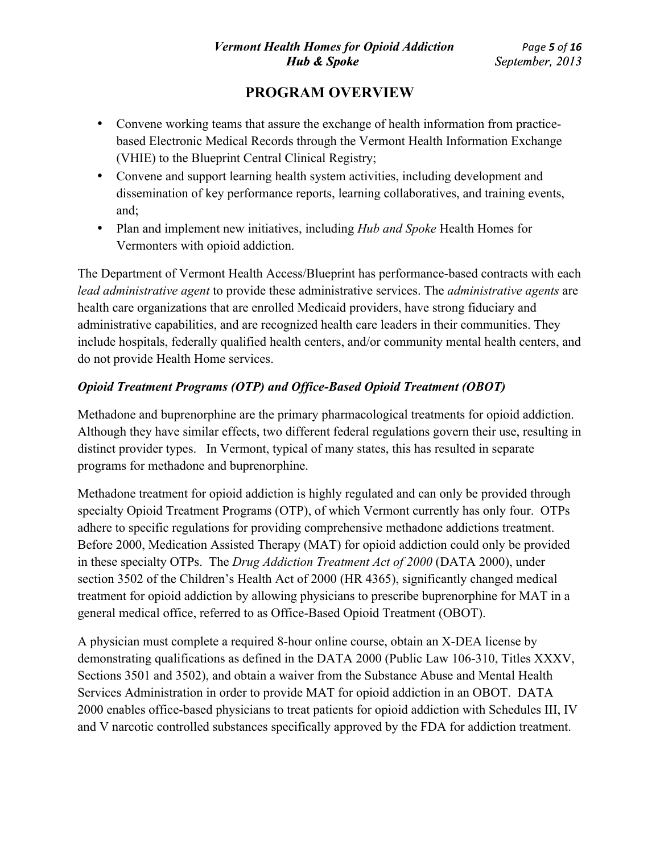- Convene working teams that assure the exchange of health information from practicebased Electronic Medical Records through the Vermont Health Information Exchange (VHIE) to the Blueprint Central Clinical Registry;
- Convene and support learning health system activities, including development and dissemination of key performance reports, learning collaboratives, and training events, and;
- Plan and implement new initiatives, including *Hub and Spoke* Health Homes for Vermonters with opioid addiction.

The Department of Vermont Health Access/Blueprint has performance-based contracts with each *lead administrative agent* to provide these administrative services. The *administrative agents* are health care organizations that are enrolled Medicaid providers, have strong fiduciary and administrative capabilities, and are recognized health care leaders in their communities. They include hospitals, federally qualified health centers, and/or community mental health centers, and do not provide Health Home services.

## *Opioid Treatment Programs (OTP) and Office-Based Opioid Treatment (OBOT)*

Methadone and buprenorphine are the primary pharmacological treatments for opioid addiction. Although they have similar effects, two different federal regulations govern their use, resulting in distinct provider types. In Vermont, typical of many states, this has resulted in separate programs for methadone and buprenorphine.

Methadone treatment for opioid addiction is highly regulated and can only be provided through specialty Opioid Treatment Programs (OTP), of which Vermont currently has only four. OTPs adhere to specific regulations for providing comprehensive methadone addictions treatment. Before 2000, Medication Assisted Therapy (MAT) for opioid addiction could only be provided in these specialty OTPs. The *Drug Addiction Treatment Act of 2000* (DATA 2000), under section 3502 of the Children's Health Act of 2000 (HR 4365), significantly changed medical treatment for opioid addiction by allowing physicians to prescribe buprenorphine for MAT in a general medical office, referred to as Office-Based Opioid Treatment (OBOT).

A physician must complete a required 8-hour online course, obtain an X-DEA license by demonstrating qualifications as defined in the DATA 2000 (Public Law 106-310, Titles XXXV, Sections 3501 and 3502), and obtain a waiver from the Substance Abuse and Mental Health Services Administration in order to provide MAT for opioid addiction in an OBOT. DATA 2000 enables office-based physicians to treat patients for opioid addiction with Schedules III, IV and V narcotic controlled substances specifically approved by the FDA for addiction treatment.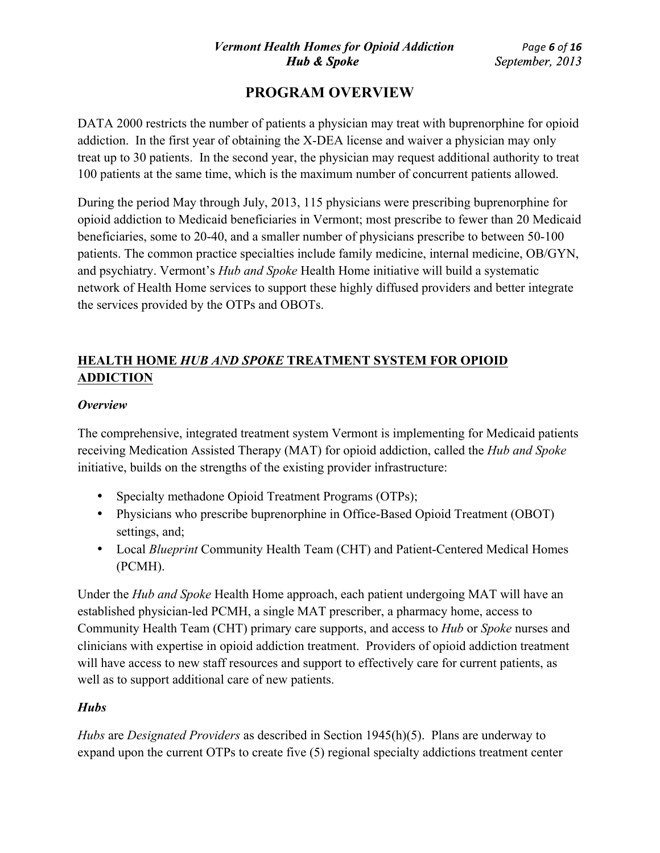DATA 2000 restricts the number of patients a physician may treat with buprenorphine for opioid addiction. In the first year of obtaining the X-DEA license and waiver a physician may only treat up to 30 patients. In the second year, the physician may request additional authority to treat 100 patients at the same time, which is the maximum number of concurrent patients allowed.

During the period May through July, 2013, 115 physicians were prescribing buprenorphine for opioid addiction to Medicaid beneficiaries in Vermont; most prescribe to fewer than 20 Medicaid beneficiaries, some to 20-40, and a smaller number of physicians prescribe to between 50-100 patients. The common practice specialties include family medicine, internal medicine, OB/GYN, and psychiatry. Vermont's *Hub and Spoke* Health Home initiative will build a systematic network of Health Home services to support these highly diffused providers and better integrate the services provided by the OTPs and OBOTs.

# **HEALTH HOME** *HUB AND SPOKE* **TREATMENT SYSTEM FOR OPIOID ADDICTION**

#### *Overview*

The comprehensive, integrated treatment system Vermont is implementing for Medicaid patients receiving Medication Assisted Therapy (MAT) for opioid addiction, called the *Hub and Spoke* initiative, builds on the strengths of the existing provider infrastructure:

- Specialty methadone Opioid Treatment Programs (OTPs);
- Physicians who prescribe buprenorphine in Office-Based Opioid Treatment (OBOT) settings, and;
- Local *Blueprint* Community Health Team (CHT) and Patient-Centered Medical Homes (PCMH).

Under the *Hub and Spoke* Health Home approach, each patient undergoing MAT will have an established physician-led PCMH, a single MAT prescriber, a pharmacy home, access to Community Health Team (CHT) primary care supports, and access to *Hub* or *Spoke* nurses and clinicians with expertise in opioid addiction treatment. Providers of opioid addiction treatment will have access to new staff resources and support to effectively care for current patients, as well as to support additional care of new patients.

## *Hubs*

*Hubs* are *Designated Providers* as described in Section 1945(h)(5). Plans are underway to expand upon the current OTPs to create five (5) regional specialty addictions treatment center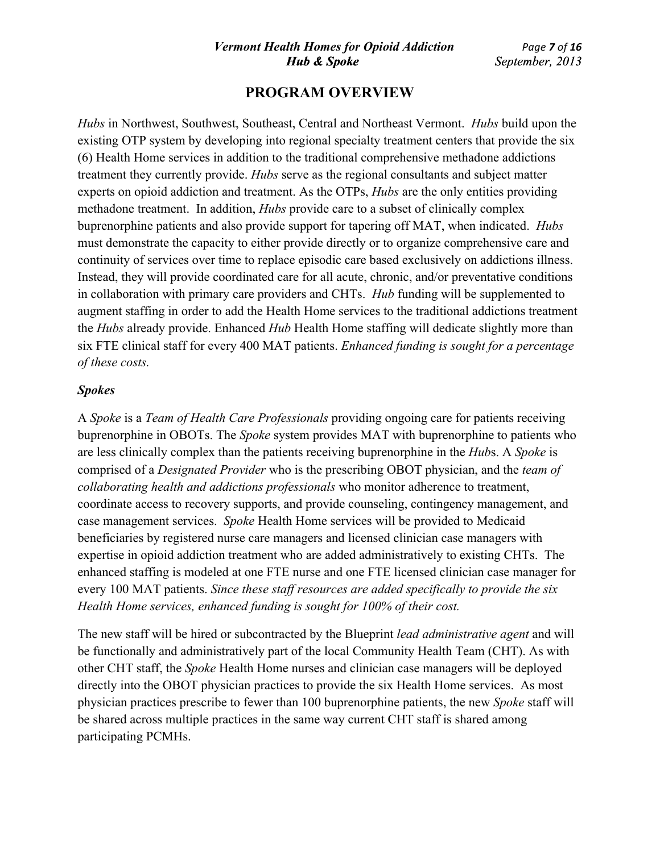*Hubs* in Northwest, Southwest, Southeast, Central and Northeast Vermont. *Hubs* build upon the existing OTP system by developing into regional specialty treatment centers that provide the six (6) Health Home services in addition to the traditional comprehensive methadone addictions treatment they currently provide. *Hubs* serve as the regional consultants and subject matter experts on opioid addiction and treatment. As the OTPs, *Hubs* are the only entities providing methadone treatment. In addition, *Hubs* provide care to a subset of clinically complex buprenorphine patients and also provide support for tapering off MAT, when indicated. *Hubs* must demonstrate the capacity to either provide directly or to organize comprehensive care and continuity of services over time to replace episodic care based exclusively on addictions illness. Instead, they will provide coordinated care for all acute, chronic, and/or preventative conditions in collaboration with primary care providers and CHTs. *Hub* funding will be supplemented to augment staffing in order to add the Health Home services to the traditional addictions treatment the *Hubs* already provide. Enhanced *Hub* Health Home staffing will dedicate slightly more than six FTE clinical staff for every 400 MAT patients. *Enhanced funding is sought for a percentage of these costs.*

#### *Spokes*

A *Spoke* is a *Team of Health Care Professionals* providing ongoing care for patients receiving buprenorphine in OBOTs. The *Spoke* system provides MAT with buprenorphine to patients who are less clinically complex than the patients receiving buprenorphine in the *Hub*s. A *Spoke* is comprised of a *Designated Provider* who is the prescribing OBOT physician, and the *team of collaborating health and addictions professionals* who monitor adherence to treatment, coordinate access to recovery supports, and provide counseling, contingency management, and case management services. *Spoke* Health Home services will be provided to Medicaid beneficiaries by registered nurse care managers and licensed clinician case managers with expertise in opioid addiction treatment who are added administratively to existing CHTs. The enhanced staffing is modeled at one FTE nurse and one FTE licensed clinician case manager for every 100 MAT patients. *Since these staff resources are added specifically to provide the six Health Home services, enhanced funding is sought for 100% of their cost.* 

The new staff will be hired or subcontracted by the Blueprint *lead administrative agent* and will be functionally and administratively part of the local Community Health Team (CHT). As with other CHT staff, the *Spoke* Health Home nurses and clinician case managers will be deployed directly into the OBOT physician practices to provide the six Health Home services. As most physician practices prescribe to fewer than 100 buprenorphine patients, the new *Spoke* staff will be shared across multiple practices in the same way current CHT staff is shared among participating PCMHs.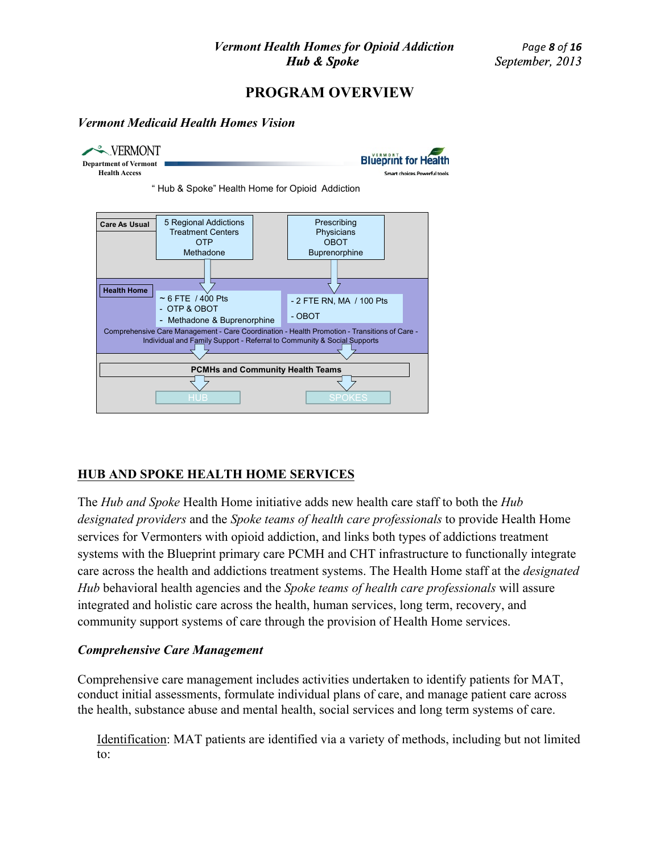#### *Vermont Medicaid Health Homes Vision*



## **HUB AND SPOKE HEALTH HOME SERVICES**

The *Hub and Spoke* Health Home initiative adds new health care staff to both the *Hub designated providers* and the *Spoke teams of health care professionals* to provide Health Home services for Vermonters with opioid addiction, and links both types of addictions treatment systems with the Blueprint primary care PCMH and CHT infrastructure to functionally integrate care across the health and addictions treatment systems. The Health Home staff at the *designated Hub* behavioral health agencies and the *Spoke teams of health care professionals* will assure integrated and holistic care across the health, human services, long term, recovery, and community support systems of care through the provision of Health Home services.

#### *Comprehensive Care Management*

Comprehensive care management includes activities undertaken to identify patients for MAT, conduct initial assessments, formulate individual plans of care, and manage patient care across the health, substance abuse and mental health, social services and long term systems of care.

Identification: MAT patients are identified via a variety of methods, including but not limited to: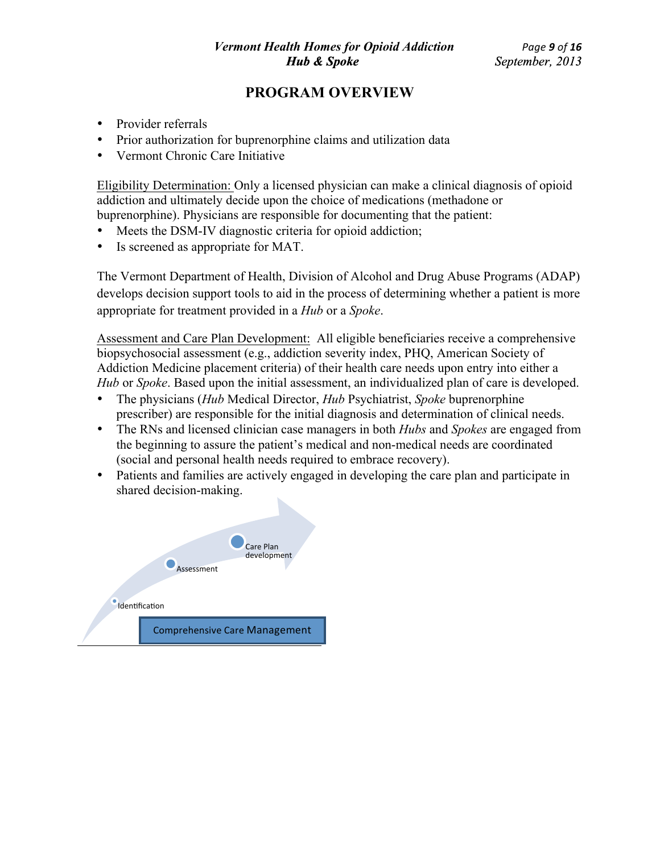- Provider referrals
- Prior authorization for buprenorphine claims and utilization data
- Vermont Chronic Care Initiative

Eligibility Determination: Only a licensed physician can make a clinical diagnosis of opioid addiction and ultimately decide upon the choice of medications (methadone or buprenorphine). Physicians are responsible for documenting that the patient:

- Meets the DSM-IV diagnostic criteria for opioid addiction;
- Is screened as appropriate for MAT.

The Vermont Department of Health, Division of Alcohol and Drug Abuse Programs (ADAP) develops decision support tools to aid in the process of determining whether a patient is more appropriate for treatment provided in a *Hub* or a *Spoke*.

Assessment and Care Plan Development: All eligible beneficiaries receive a comprehensive biopsychosocial assessment (e.g., addiction severity index, PHQ, American Society of Addiction Medicine placement criteria) of their health care needs upon entry into either a *Hub* or *Spoke*. Based upon the initial assessment, an individualized plan of care is developed.

- The physicians (*Hub* Medical Director, *Hub* Psychiatrist, *Spoke* buprenorphine prescriber) are responsible for the initial diagnosis and determination of clinical needs.
- The RNs and licensed clinician case managers in both *Hubs* and *Spokes* are engaged from the beginning to assure the patient's medical and non-medical needs are coordinated (social and personal health needs required to embrace recovery).
- Patients and families are actively engaged in developing the care plan and participate in shared decision-making.

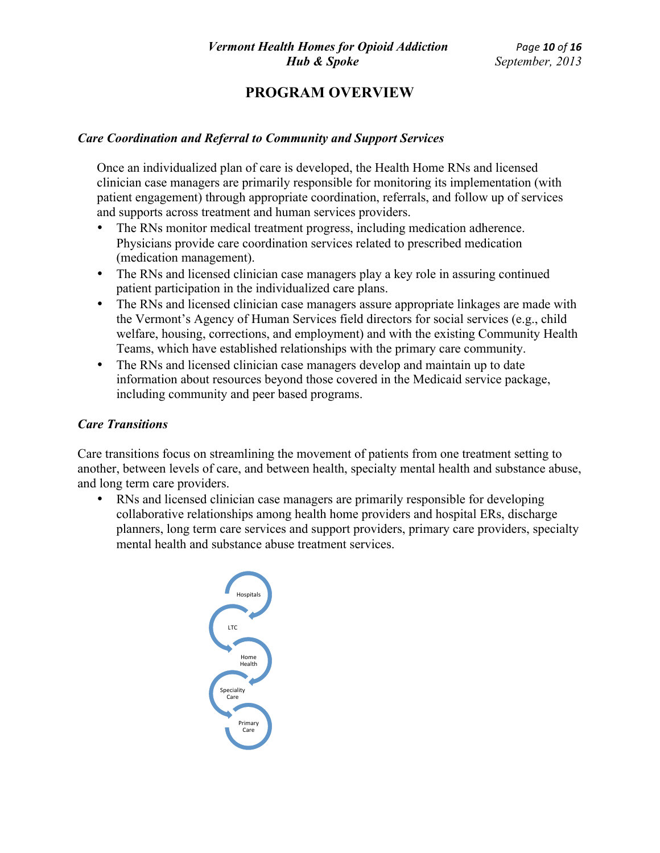#### *Care Coordination and Referral to Community and Support Services*

Once an individualized plan of care is developed, the Health Home RNs and licensed clinician case managers are primarily responsible for monitoring its implementation (with patient engagement) through appropriate coordination, referrals, and follow up of services and supports across treatment and human services providers.

- The RNs monitor medical treatment progress, including medication adherence. Physicians provide care coordination services related to prescribed medication (medication management).
- The RNs and licensed clinician case managers play a key role in assuring continued patient participation in the individualized care plans.
- The RNs and licensed clinician case managers assure appropriate linkages are made with the Vermont's Agency of Human Services field directors for social services (e.g., child welfare, housing, corrections, and employment) and with the existing Community Health Teams, which have established relationships with the primary care community.
- The RNs and licensed clinician case managers develop and maintain up to date information about resources beyond those covered in the Medicaid service package, including community and peer based programs.

#### *Care Transitions*

Care transitions focus on streamlining the movement of patients from one treatment setting to another, between levels of care, and between health, specialty mental health and substance abuse, and long term care providers.

• RNs and licensed clinician case managers are primarily responsible for developing collaborative relationships among health home providers and hospital ERs, discharge planners, long term care services and support providers, primary care providers, specialty mental health and substance abuse treatment services.

Hospitals LTC Home Health Speciality Care Primary Care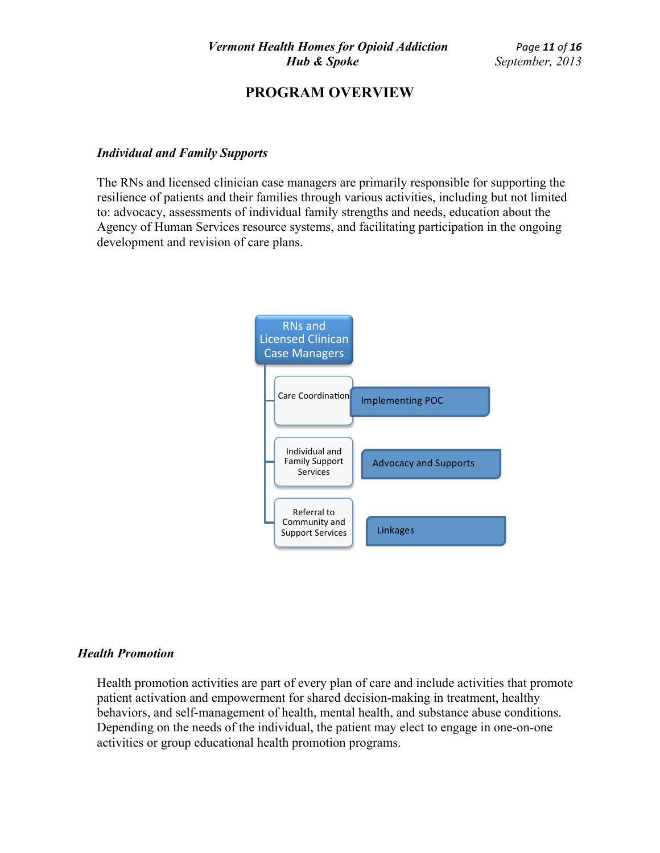#### *Individual and Family Supports*

The RNs and licensed clinician case managers are primarily responsible for supporting the resilience of patients and their families through various activities, including but not limited to: advocacy, assessments of individual family strengths and needs, education about the Agency of Human Services resource systems, and facilitating participation in the ongoing development and revision of care plans.



#### *Health Promotion*

Health promotion activities are part of every plan of care and include activities that promote patient activation and empowerment for shared decision-making in treatment, healthy behaviors, and self-management of health, mental health, and substance abuse conditions. Depending on the needs of the individual, the patient may elect to engage in one-on-one activities or group educational health promotion programs.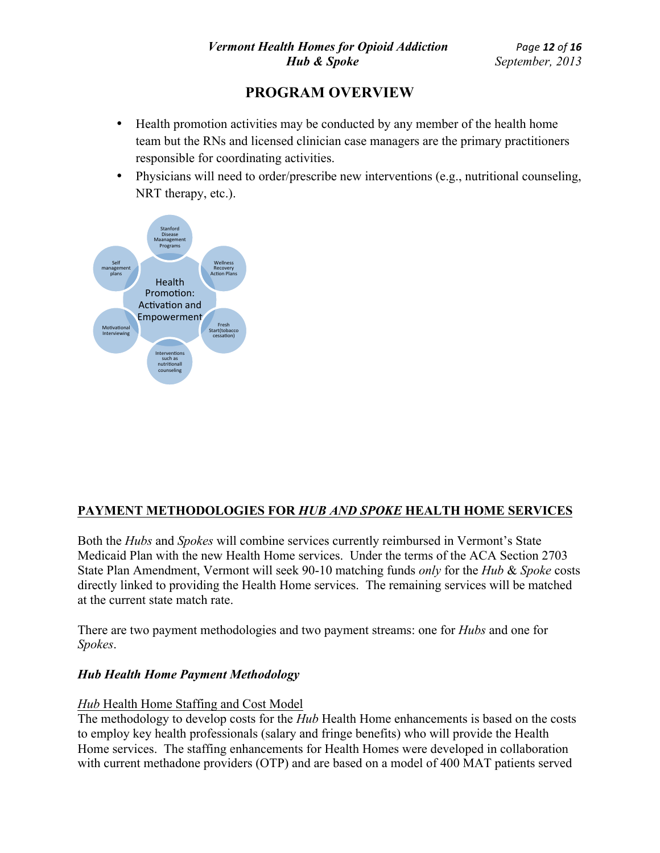- Health promotion activities may be conducted by any member of the health home team but the RNs and licensed clinician case managers are the primary practitioners responsible for coordinating activities.
- Physicians will need to order/prescribe new interventions (e.g., nutritional counseling, NRT therapy, etc.).



# **PAYMENT METHODOLOGIES FOR** *HUB AND SPOKE* **HEALTH HOME SERVICES**

Both the *Hubs* and *Spokes* will combine services currently reimbursed in Vermont's State Medicaid Plan with the new Health Home services. Under the terms of the ACA Section 2703 State Plan Amendment, Vermont will seek 90-10 matching funds *only* for the *Hub* & *Spoke* costs directly linked to providing the Health Home services. The remaining services will be matched at the current state match rate.

There are two payment methodologies and two payment streams: one for *Hubs* and one for *Spokes*.

#### *Hub Health Home Payment Methodology*

#### *Hub* Health Home Staffing and Cost Model

The methodology to develop costs for the *Hub* Health Home enhancements is based on the costs to employ key health professionals (salary and fringe benefits) who will provide the Health Home services. The staffing enhancements for Health Homes were developed in collaboration with current methadone providers (OTP) and are based on a model of 400 MAT patients served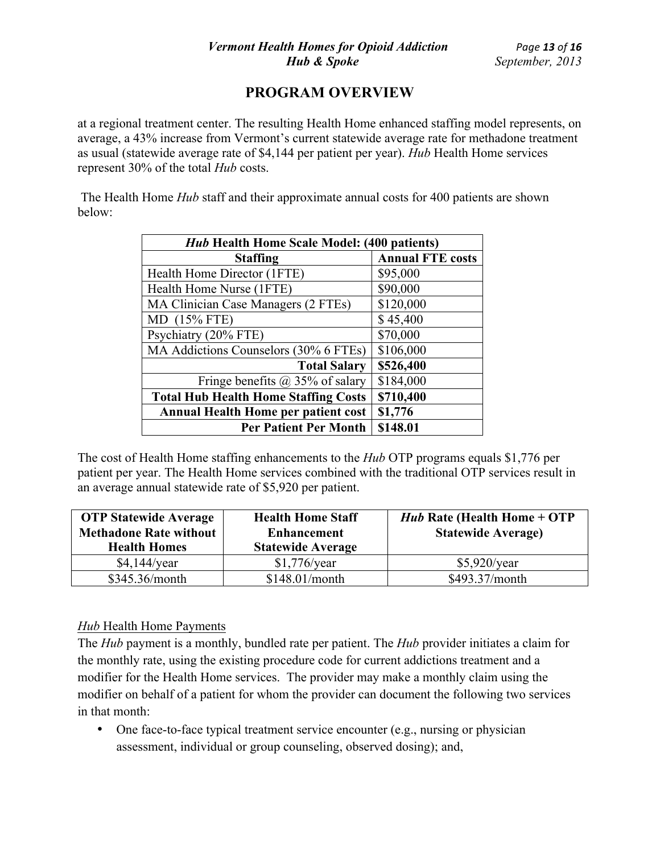at a regional treatment center. The resulting Health Home enhanced staffing model represents, on average, a 43% increase from Vermont's current statewide average rate for methadone treatment as usual (statewide average rate of \$4,144 per patient per year). *Hub* Health Home services represent 30% of the total *Hub* costs.

The Health Home *Hub* staff and their approximate annual costs for 400 patients are shown below:

| <b>Hub Health Home Scale Model: (400 patients)</b> |                         |  |
|----------------------------------------------------|-------------------------|--|
| <b>Staffing</b>                                    | <b>Annual FTE costs</b> |  |
| Health Home Director (1FTE)                        | \$95,000                |  |
| Health Home Nurse (1FTE)                           | \$90,000                |  |
| MA Clinician Case Managers (2 FTEs)                | \$120,000               |  |
| MD (15% FTE)                                       | \$45,400                |  |
| Psychiatry (20% FTE)                               | \$70,000                |  |
| MA Addictions Counselors (30% 6 FTEs)              | \$106,000               |  |
| <b>Total Salary</b>                                | \$526,400               |  |
| Fringe benefits $(a)$ 35% of salary                | \$184,000               |  |
| <b>Total Hub Health Home Staffing Costs</b>        | \$710,400               |  |
| <b>Annual Health Home per patient cost</b>         | \$1,776                 |  |
| <b>Per Patient Per Month</b>                       | \$148.01                |  |

The cost of Health Home staffing enhancements to the *Hub* OTP programs equals \$1,776 per patient per year. The Health Home services combined with the traditional OTP services result in an average annual statewide rate of \$5,920 per patient.

| <b>OTP Statewide Average</b><br><b>Methadone Rate without</b><br><b>Health Homes</b> | <b>Health Home Staff</b><br><b>Enhancement</b><br><b>Statewide Average</b> | <i>Hub</i> Rate (Health Home + OTP<br><b>Statewide Average)</b> |
|--------------------------------------------------------------------------------------|----------------------------------------------------------------------------|-----------------------------------------------------------------|
| $$4,144$ /year                                                                       | $$1,776$ /year                                                             | $$5,920$ /year                                                  |
| \$345.36/month                                                                       | \$148.01/month                                                             | \$493.37/month                                                  |

## *Hub* Health Home Payments

The *Hub* payment is a monthly, bundled rate per patient. The *Hub* provider initiates a claim for the monthly rate, using the existing procedure code for current addictions treatment and a modifier for the Health Home services. The provider may make a monthly claim using the modifier on behalf of a patient for whom the provider can document the following two services in that month:

• One face-to-face typical treatment service encounter (e.g., nursing or physician assessment, individual or group counseling, observed dosing); and,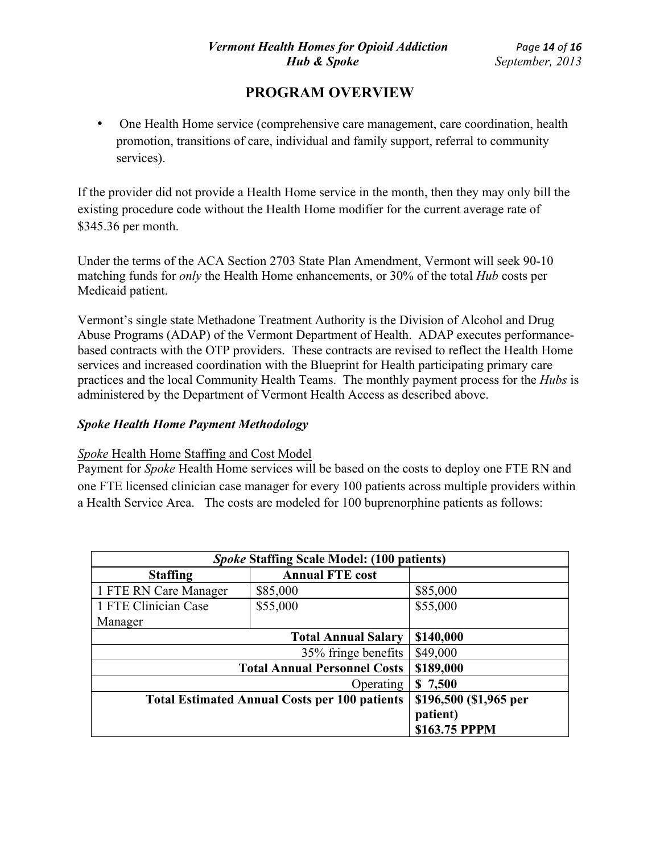• One Health Home service (comprehensive care management, care coordination, health promotion, transitions of care, individual and family support, referral to community services).

If the provider did not provide a Health Home service in the month, then they may only bill the existing procedure code without the Health Home modifier for the current average rate of \$345.36 per month.

Under the terms of the ACA Section 2703 State Plan Amendment, Vermont will seek 90-10 matching funds for *only* the Health Home enhancements, or 30% of the total *Hub* costs per Medicaid patient.

Vermont's single state Methadone Treatment Authority is the Division of Alcohol and Drug Abuse Programs (ADAP) of the Vermont Department of Health. ADAP executes performancebased contracts with the OTP providers. These contracts are revised to reflect the Health Home services and increased coordination with the Blueprint for Health participating primary care practices and the local Community Health Teams. The monthly payment process for the *Hubs* is administered by the Department of Vermont Health Access as described above.

## *Spoke Health Home Payment Methodology*

## *Spoke* Health Home Staffing and Cost Model

Payment for *Spoke* Health Home services will be based on the costs to deploy one FTE RN and one FTE licensed clinician case manager for every 100 patients across multiple providers within a Health Service Area. The costs are modeled for 100 buprenorphine patients as follows:

| <b>Spoke Staffing Scale Model: (100 patients)</b>    |                            |                        |  |
|------------------------------------------------------|----------------------------|------------------------|--|
| <b>Staffing</b>                                      | <b>Annual FTE cost</b>     |                        |  |
| 1 FTE RN Care Manager                                | \$85,000                   | \$85,000               |  |
| 1 FTE Clinician Case                                 | \$55,000                   | \$55,000               |  |
| Manager                                              |                            |                        |  |
|                                                      | <b>Total Annual Salary</b> | \$140,000              |  |
|                                                      | 35% fringe benefits        | \$49,000               |  |
| <b>Total Annual Personnel Costs</b>                  |                            | \$189,000              |  |
| <b>Operating</b>                                     |                            | \$7,500                |  |
| <b>Total Estimated Annual Costs per 100 patients</b> |                            | \$196,500 (\$1,965 per |  |
|                                                      |                            | patient)               |  |
|                                                      |                            | \$163.75 PPPM          |  |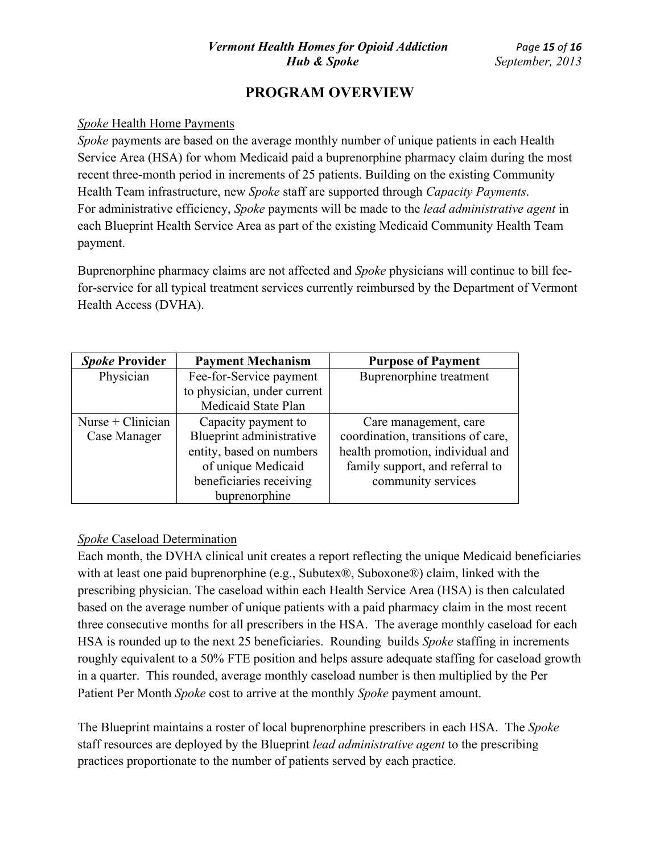### *Spoke* Health Home Payments

*Spoke* payments are based on the average monthly number of unique patients in each Health Service Area (HSA) for whom Medicaid paid a buprenorphine pharmacy claim during the most recent three-month period in increments of 25 patients. Building on the existing Community Health Team infrastructure, new *Spoke* staff are supported through *Capacity Payments*. For administrative efficiency, *Spoke* payments will be made to the *lead administrative agent* in each Blueprint Health Service Area as part of the existing Medicaid Community Health Team payment.

Buprenorphine pharmacy claims are not affected and *Spoke* physicians will continue to bill feefor-service for all typical treatment services currently reimbursed by the Department of Vermont Health Access (DVHA).

| <b>Spoke Provider</b> | <b>Payment Mechanism</b>    | <b>Purpose of Payment</b>          |
|-----------------------|-----------------------------|------------------------------------|
| Physician             | Fee-for-Service payment     | Buprenorphine treatment            |
|                       | to physician, under current |                                    |
|                       | Medicaid State Plan         |                                    |
| Nurse + $Clinician$   | Capacity payment to         | Care management, care              |
| Case Manager          | Blueprint administrative    | coordination, transitions of care, |
|                       | entity, based on numbers    | health promotion, individual and   |
|                       | of unique Medicaid          | family support, and referral to    |
|                       | beneficiaries receiving     | community services                 |
|                       | buprenorphine               |                                    |

## *Spoke* Caseload Determination

Each month, the DVHA clinical unit creates a report reflecting the unique Medicaid beneficiaries with at least one paid buprenorphine (e.g., Subutex®, Suboxone®) claim, linked with the prescribing physician. The caseload within each Health Service Area (HSA) is then calculated based on the average number of unique patients with a paid pharmacy claim in the most recent three consecutive months for all prescribers in the HSA. The average monthly caseload for each HSA is rounded up to the next 25 beneficiaries. Rounding builds *Spoke* staffing in increments roughly equivalent to a 50% FTE position and helps assure adequate staffing for caseload growth in a quarter. This rounded, average monthly caseload number is then multiplied by the Per Patient Per Month *Spoke* cost to arrive at the monthly *Spoke* payment amount.

The Blueprint maintains a roster of local buprenorphine prescribers in each HSA. The *Spoke* staff resources are deployed by the Blueprint *lead administrative agent* to the prescribing practices proportionate to the number of patients served by each practice.